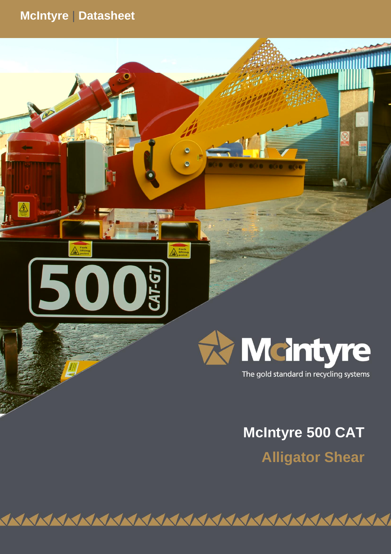# **McIntyre** | **Datasheet**

 $\frac{A}{\frac{1}{2}}$ 

5



**JMC Recycling Systems Ltd**

 $L-G$ 

The gold standard in recycling systems

# **McIntyre 500 CAT**

**KKI** 

**Alligator Shear**